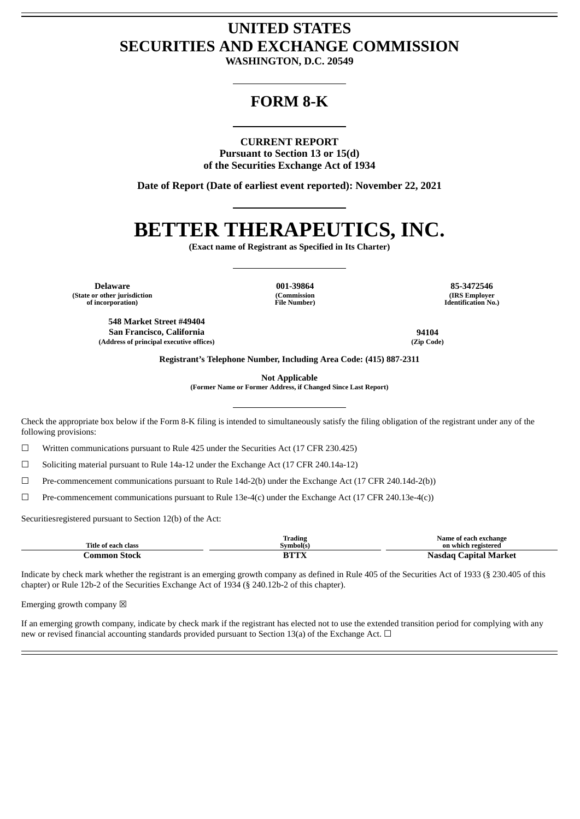## **UNITED STATES SECURITIES AND EXCHANGE COMMISSION**

**WASHINGTON, D.C. 20549**

### **FORM 8-K**

### **CURRENT REPORT**

**Pursuant to Section 13 or 15(d) of the Securities Exchange Act of 1934**

**Date of Report (Date of earliest event reported): November 22, 2021**

# **BETTER THERAPEUTICS, INC.**

**(Exact name of Registrant as Specified in Its Charter)**

**Delaware 001-39864 85-3472546 (State or other jurisdiction of incorporation)**

**(Commission File Number)**

**(IRS Employer Identification No.)**

**548 Market Street #49404 San Francisco, California 94104 (Address of principal executive offices) (Zip Code)**

**Registrant's Telephone Number, Including Area Code: (415) 887-2311**

**Not Applicable**

**(Former Name or Former Address, if Changed Since Last Report)**

Check the appropriate box below if the Form 8-K filing is intended to simultaneously satisfy the filing obligation of the registrant under any of the following provisions:

☐ Written communications pursuant to Rule 425 under the Securities Act (17 CFR 230.425)

 $\Box$  Soliciting material pursuant to Rule 14a-12 under the Exchange Act (17 CFR 240.14a-12)

☐ Pre-commencement communications pursuant to Rule 14d-2(b) under the Exchange Act (17 CFR 240.14d-2(b))

☐ Pre-commencement communications pursuant to Rule 13e-4(c) under the Exchange Act (17 CFR 240.13e-4(c))

Securitiesregistered pursuant to Section 12(b) of the Act:

| Title of each class | <b>Trading</b><br>Symbol(s)         | Name of each exchange<br>on which registered |
|---------------------|-------------------------------------|----------------------------------------------|
| Common Stock        | ${\bf PTTV}$<br>$\mathbf{L}\Lambda$ | Nasdag Capital Market                        |

Indicate by check mark whether the registrant is an emerging growth company as defined in Rule 405 of the Securities Act of 1933 (§ 230.405 of this chapter) or Rule 12b-2 of the Securities Exchange Act of 1934 (§ 240.12b-2 of this chapter).

Emerging growth company  $\boxtimes$ 

If an emerging growth company, indicate by check mark if the registrant has elected not to use the extended transition period for complying with any new or revised financial accounting standards provided pursuant to Section 13(a) of the Exchange Act. □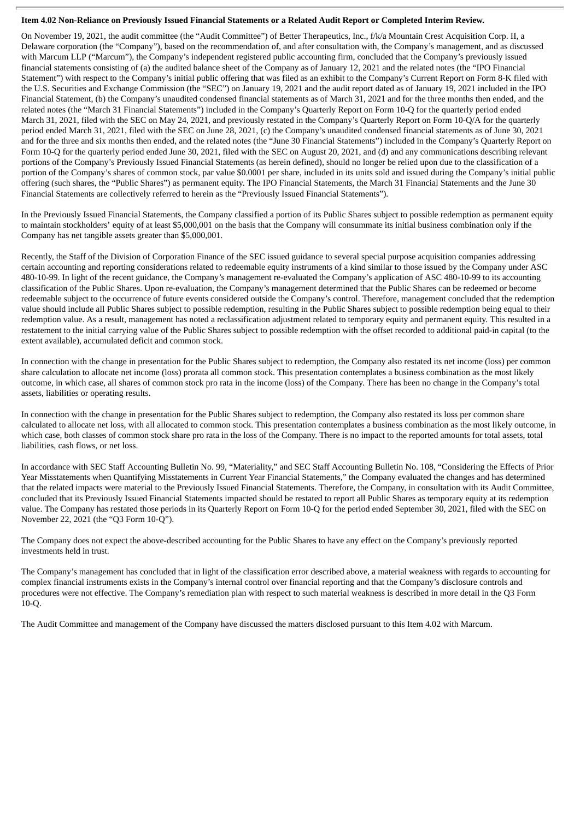### Item 4.02 Non-Reliance on Previously Issued Financial Statements or a Related Audit Report or Completed Interim Review.

On November 19, 2021, the audit committee (the "Audit Committee") of Better Therapeutics, Inc., f/k/a Mountain Crest Acquisition Corp. II, a Delaware corporation (the "Company"), based on the recommendation of, and after consultation with, the Company's management, and as discussed with Marcum LLP ("Marcum"), the Company's independent registered public accounting firm, concluded that the Company's previously issued financial statements consisting of (a) the audited balance sheet of the Company as of January 12, 2021 and the related notes (the "IPO Financial Statement") with respect to the Company's initial public offering that was filed as an exhibit to the Company's Current Report on Form 8-K filed with the U.S. Securities and Exchange Commission (the "SEC") on January 19, 2021 and the audit report dated as of January 19, 2021 included in the IPO Financial Statement, (b) the Company's unaudited condensed financial statements as of March 31, 2021 and for the three months then ended, and the related notes (the "March 31 Financial Statements") included in the Company's Quarterly Report on Form 10-Q for the quarterly period ended March 31, 2021, filed with the SEC on May 24, 2021, and previously restated in the Company's Quarterly Report on Form 10-Q/A for the quarterly period ended March 31, 2021, filed with the SEC on June 28, 2021, (c) the Company's unaudited condensed financial statements as of June 30, 2021 and for the three and six months then ended, and the related notes (the "June 30 Financial Statements") included in the Company's Quarterly Report on Form 10-Q for the quarterly period ended June 30, 2021, filed with the SEC on August 20, 2021, and (d) and any communications describing relevant portions of the Company's Previously Issued Financial Statements (as herein defined), should no longer be relied upon due to the classification of a portion of the Company's shares of common stock, par value \$0.0001 per share, included in its units sold and issued during the Company's initial public offering (such shares, the "Public Shares") as permanent equity. The IPO Financial Statements, the March 31 Financial Statements and the June 30 Financial Statements are collectively referred to herein as the "Previously Issued Financial Statements").

In the Previously Issued Financial Statements, the Company classified a portion of its Public Shares subject to possible redemption as permanent equity to maintain stockholders' equity of at least \$5,000,001 on the basis that the Company will consummate its initial business combination only if the Company has net tangible assets greater than \$5,000,001.

Recently, the Staff of the Division of Corporation Finance of the SEC issued guidance to several special purpose acquisition companies addressing certain accounting and reporting considerations related to redeemable equity instruments of a kind similar to those issued by the Company under ASC 480-10-99. In light of the recent guidance, the Company's management re-evaluated the Company's application of ASC 480-10-99 to its accounting classification of the Public Shares. Upon re-evaluation, the Company's management determined that the Public Shares can be redeemed or become redeemable subject to the occurrence of future events considered outside the Company's control. Therefore, management concluded that the redemption value should include all Public Shares subject to possible redemption, resulting in the Public Shares subject to possible redemption being equal to their redemption value. As a result, management has noted a reclassification adjustment related to temporary equity and permanent equity. This resulted in a restatement to the initial carrying value of the Public Shares subject to possible redemption with the offset recorded to additional paid-in capital (to the extent available), accumulated deficit and common stock.

In connection with the change in presentation for the Public Shares subject to redemption, the Company also restated its net income (loss) per common share calculation to allocate net income (loss) prorata all common stock. This presentation contemplates a business combination as the most likely outcome, in which case, all shares of common stock pro rata in the income (loss) of the Company. There has been no change in the Company's total assets, liabilities or operating results.

In connection with the change in presentation for the Public Shares subject to redemption, the Company also restated its loss per common share calculated to allocate net loss, with all allocated to common stock. This presentation contemplates a business combination as the most likely outcome, in which case, both classes of common stock share pro rata in the loss of the Company. There is no impact to the reported amounts for total assets, total liabilities, cash flows, or net loss.

In accordance with SEC Staff Accounting Bulletin No. 99, "Materiality," and SEC Staff Accounting Bulletin No. 108, "Considering the Effects of Prior Year Misstatements when Quantifying Misstatements in Current Year Financial Statements," the Company evaluated the changes and has determined that the related impacts were material to the Previously Issued Financial Statements. Therefore, the Company, in consultation with its Audit Committee, concluded that its Previously Issued Financial Statements impacted should be restated to report all Public Shares as temporary equity at its redemption value. The Company has restated those periods in its Quarterly Report on Form 10-Q for the period ended September 30, 2021, filed with the SEC on November 22, 2021 (the "Q3 Form 10-Q").

The Company does not expect the above-described accounting for the Public Shares to have any effect on the Company's previously reported investments held in trust.

The Company's management has concluded that in light of the classification error described above, a material weakness with regards to accounting for complex financial instruments exists in the Company's internal control over financial reporting and that the Company's disclosure controls and procedures were not effective. The Company's remediation plan with respect to such material weakness is described in more detail in the Q3 Form 10-Q.

The Audit Committee and management of the Company have discussed the matters disclosed pursuant to this Item 4.02 with Marcum.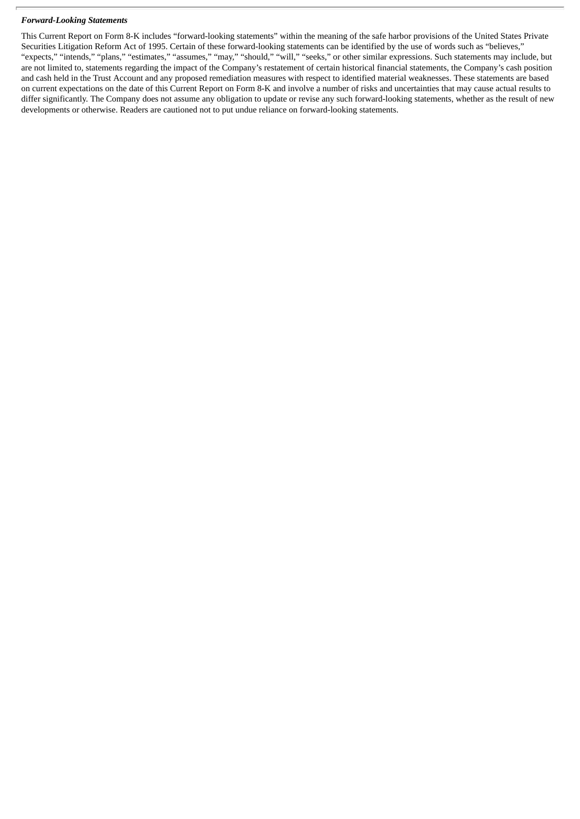#### *Forward-Looking Statements*

This Current Report on Form 8-K includes "forward-looking statements" within the meaning of the safe harbor provisions of the United States Private Securities Litigation Reform Act of 1995. Certain of these forward-looking statements can be identified by the use of words such as "believes," "expects," "intends," "plans," "estimates," "assumes," "may," "should," "will," "seeks," or other similar expressions. Such statements may include, but are not limited to, statements regarding the impact of the Company's restatement of certain historical financial statements, the Company's cash position and cash held in the Trust Account and any proposed remediation measures with respect to identified material weaknesses. These statements are based on current expectations on the date of this Current Report on Form 8-K and involve a number of risks and uncertainties that may cause actual results to differ significantly. The Company does not assume any obligation to update or revise any such forward-looking statements, whether as the result of new developments or otherwise. Readers are cautioned not to put undue reliance on forward-looking statements.